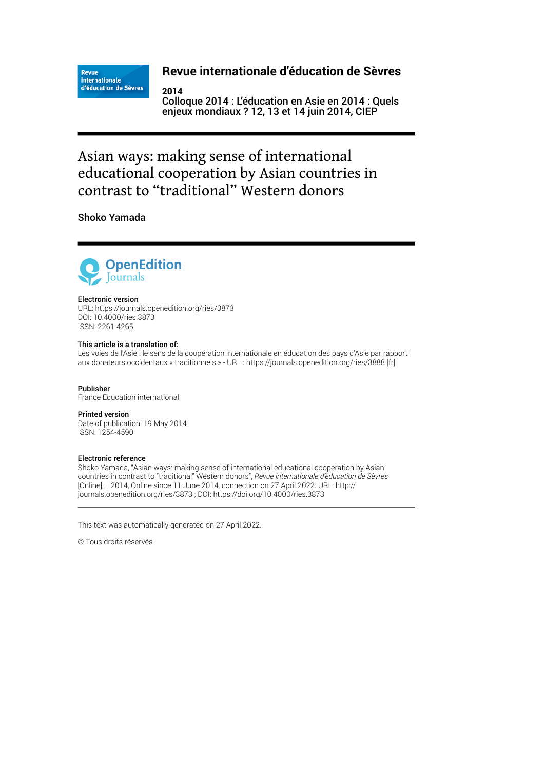**Revue** internationale d'éducation de Sèvres

## **Revue internationale d'éducation de Sèvres**

**2014** Colloque 2014 : L'éducation en Asie en 2014 : Quels enjeux mondiaux ? 12, 13 et 14 juin 2014, CIEP

# Asian ways: making sense of international educational cooperation by Asian countries in contrast to "traditional" Western donors

Shoko Yamada



#### Electronic version

URL:<https://journals.openedition.org/ries/3873> DOI: 10.4000/ries.3873 ISSN: 2261-4265

#### This article is a translation of:

Les voies de l'Asie : le sens de la coopération internationale en éducation des pays d'Asie par rapport aux donateurs occidentaux « traditionnels » - URL :<https://journals.openedition.org/ries/3888>[fr]

Publisher France Education international

## Printed version

Date of publication: 19 May 2014 ISSN: 1254-4590

#### Electronic reference

Shoko Yamada, "Asian ways: making sense of international educational cooperation by Asian countries in contrast to "traditional" Western donors", *Revue internationale d'éducation de Sèvres* [Online], | 2014, Online since 11 June 2014, connection on 27 April 2022. URL: http:// journals.openedition.org/ries/3873 ; DOI: https://doi.org/10.4000/ries.3873

This text was automatically generated on 27 April 2022.

© Tous droits réservés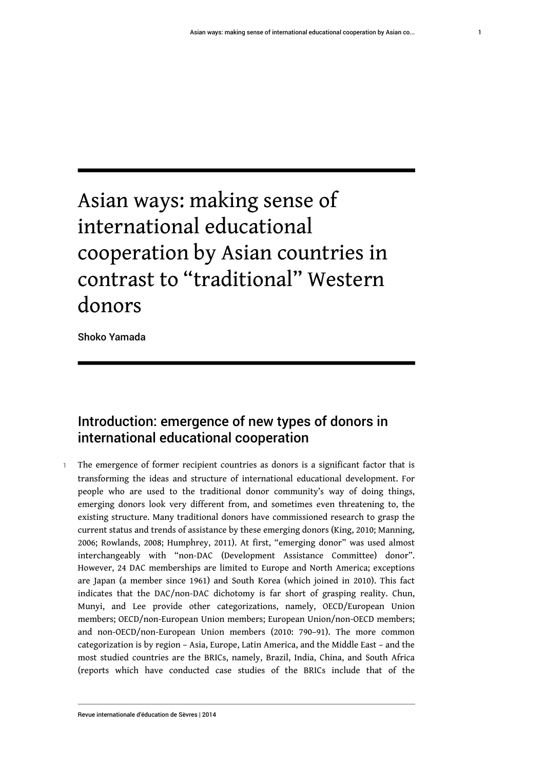# Asian ways: making sense of international educational cooperation by Asian countries in contrast to "traditional" Western donors

Shoko Yamada

# Introduction: emergence of new types of donors in international educational cooperation

The emergence of former recipient countries as donors is a significant factor that is transforming the ideas and structure of international educational development. For people who are used to the traditional donor community's way of doing things, emerging donors look very different from, and sometimes even threatening to, the existing structure. Many traditional donors have commissioned research to grasp the current status and trends of assistance by these emerging donors (King, 2010; Manning, 2006; Rowlands, 2008; Humphrey, 2011). At first, "emerging donor" was used almost interchangeably with "non-DAC (Development Assistance Committee) donor". However, 24 DAC memberships are limited to Europe and North America; exceptions are Japan (a member since 1961) and South Korea (which joined in 2010). This fact indicates that the DAC/non-DAC dichotomy is far short of grasping reality. Chun, Munyi, and Lee provide other categorizations, namely, OECD/European Union members; OECD/non-European Union members; European Union/non-OECD members; and non-OECD/non-European Union members (2010: 790–91). The more common categorization is by region – Asia, Europe, Latin America, and the Middle East – and the most studied countries are the BRICs, namely, Brazil, India, China, and South Africa (reports which have conducted case studies of the BRICs include that of the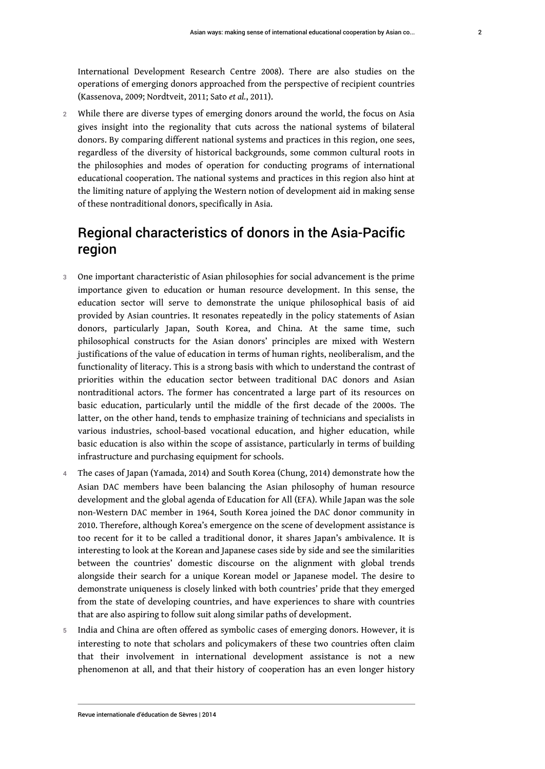International Development Research Centre 2008). There are also studies on the operations of emerging donors approached from the perspective of recipient countries (Kassenova, 2009; Nordtveit, 2011; Sato *et al.*, 2011).

2 While there are diverse types of emerging donors around the world, the focus on Asia gives insight into the regionality that cuts across the national systems of bilateral donors. By comparing different national systems and practices in this region, one sees, regardless of the diversity of historical backgrounds, some common cultural roots in the philosophies and modes of operation for conducting programs of international educational cooperation. The national systems and practices in this region also hint at the limiting nature of applying the Western notion of development aid in making sense of these nontraditional donors, specifically in Asia.

# Regional characteristics of donors in the Asia-Pacific region

- 3 One important characteristic of Asian philosophies for social advancement is the prime importance given to education or human resource development. In this sense, the education sector will serve to demonstrate the unique philosophical basis of aid provided by Asian countries. It resonates repeatedly in the policy statements of Asian donors, particularly Japan, South Korea, and China. At the same time, such philosophical constructs for the Asian donors' principles are mixed with Western justifications of the value of education in terms of human rights, neoliberalism, and the functionality of literacy. This is a strong basis with which to understand the contrast of priorities within the education sector between traditional DAC donors and Asian nontraditional actors. The former has concentrated a large part of its resources on basic education, particularly until the middle of the first decade of the 2000s. The latter, on the other hand, tends to emphasize training of technicians and specialists in various industries, school-based vocational education, and higher education, while basic education is also within the scope of assistance, particularly in terms of building infrastructure and purchasing equipment for schools.
- 4 The cases of Japan (Yamada, 2014) and South Korea (Chung, 2014) demonstrate how the Asian DAC members have been balancing the Asian philosophy of human resource development and the global agenda of Education for All (EFA). While Japan was the sole non-Western DAC member in 1964, South Korea joined the DAC donor community in 2010. Therefore, although Korea's emergence on the scene of development assistance is too recent for it to be called a traditional donor, it shares Japan's ambivalence. It is interesting to look at the Korean and Japanese cases side by side and see the similarities between the countries' domestic discourse on the alignment with global trends alongside their search for a unique Korean model or Japanese model. The desire to demonstrate uniqueness is closely linked with both countries' pride that they emerged from the state of developing countries, and have experiences to share with countries that are also aspiring to follow suit along similar paths of development.
- India and China are often offered as symbolic cases of emerging donors. However, it is interesting to note that scholars and policymakers of these two countries often claim that their involvement in international development assistance is not a new phenomenon at all, and that their history of cooperation has an even longer history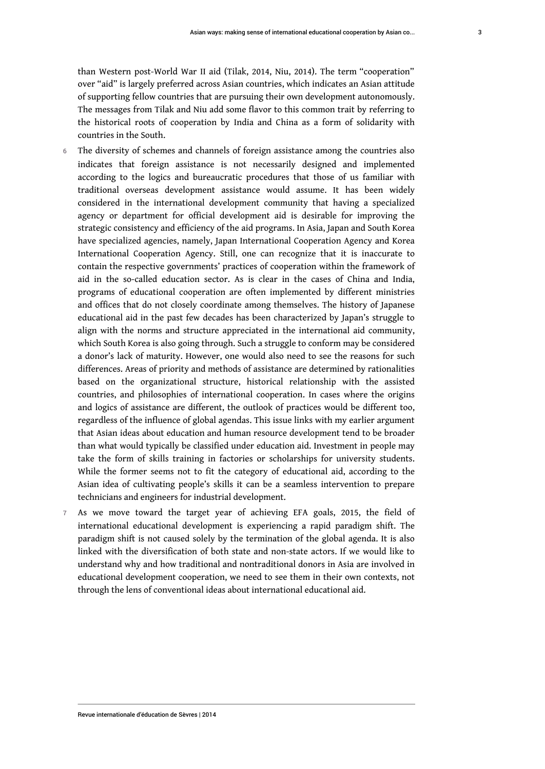countries in the South.

- The diversity of schemes and channels of foreign assistance among the countries also indicates that foreign assistance is not necessarily designed and implemented according to the logics and bureaucratic procedures that those of us familiar with traditional overseas development assistance would assume. It has been widely considered in the international development community that having a specialized agency or department for official development aid is desirable for improving the strategic consistency and efficiency of the aid programs. In Asia, Japan and South Korea have specialized agencies, namely, Japan International Cooperation Agency and Korea International Cooperation Agency. Still, one can recognize that it is inaccurate to contain the respective governments' practices of cooperation within the framework of aid in the so-called education sector. As is clear in the cases of China and India, programs of educational cooperation are often implemented by different ministries and offices that do not closely coordinate among themselves. The history of Japanese educational aid in the past few decades has been characterized by Japan's struggle to align with the norms and structure appreciated in the international aid community, which South Korea is also going through. Such a struggle to conform may be considered a donor's lack of maturity. However, one would also need to see the reasons for such differences. Areas of priority and methods of assistance are determined by rationalities based on the organizational structure, historical relationship with the assisted countries, and philosophies of international cooperation. In cases where the origins and logics of assistance are different, the outlook of practices would be different too, regardless of the influence of global agendas. This issue links with my earlier argument that Asian ideas about education and human resource development tend to be broader than what would typically be classified under education aid. Investment in people may take the form of skills training in factories or scholarships for university students. While the former seems not to fit the category of educational aid, according to the Asian idea of cultivating people's skills it can be a seamless intervention to prepare technicians and engineers for industrial development.
- 7 As we move toward the target year of achieving EFA goals, 2015, the field of international educational development is experiencing a rapid paradigm shift. The paradigm shift is not caused solely by the termination of the global agenda. It is also linked with the diversification of both state and non-state actors. If we would like to understand why and how traditional and nontraditional donors in Asia are involved in educational development cooperation, we need to see them in their own contexts, not through the lens of conventional ideas about international educational aid.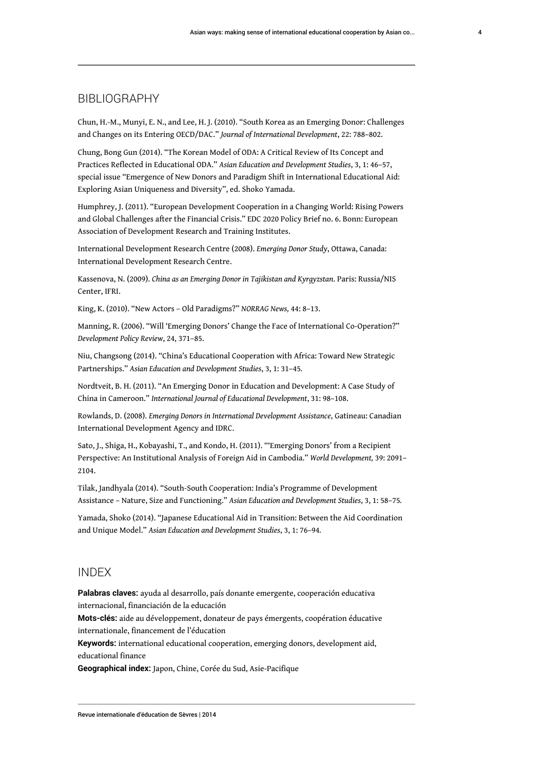## BIBLIOGRAPHY

Chun, H.-M., Munyi, E. N., and Lee, H. J. (2010). "South Korea as an Emerging Donor: Challenges and Changes on its Entering OECD/DAC." *Journal of International Development*, 22: 788–802.

Chung, Bong Gun (2014). "The Korean Model of ODA: A Critical Review of Its Concept and Practices Reflected in Educational ODA." *Asian Education and Development Studies*, 3, 1: 46–57, special issue "Emergence of New Donors and Paradigm Shift in International Educational Aid: Exploring Asian Uniqueness and Diversity", ed. Shoko Yamada.

Humphrey, J. (2011). "European Development Cooperation in a Changing World: Rising Powers and Global Challenges after the Financial Crisis." EDC 2020 Policy Brief no. 6. Bonn: European Association of Development Research and Training Institutes.

International Development Research Centre (2008). *Emerging Donor Study*, Ottawa, Canada: International Development Research Centre.

Kassenova, N. (2009). *China as an Emerging Donor in Tajikistan and Kyrgyzstan*. Paris: Russia/NIS Center, IFRI.

King, K. (2010). "New Actors – Old Paradigms?" *NORRAG News,* 44: 8–13.

Manning, R. (2006). "Will 'Emerging Donors' Change the Face of International Co-Operation?" *Development Policy Review*, 24, 371–85.

Niu, Changsong (2014). "China's Educational Cooperation with Africa: Toward New Strategic Partnerships." *Asian Education and Development Studies*, 3, 1: 31–45*.*

Nordtveit, B. H. (2011). "An Emerging Donor in Education and Development: A Case Study of China in Cameroon." *International Journal of Educational Development*, 31: 98–108.

Rowlands, D. (2008). *Emerging Donors in International Development Assistance*, Gatineau: Canadian International Development Agency and IDRC.

Sato, J., Shiga, H., Kobayashi, T., and Kondo, H. (2011). "'Emerging Donors' from a Recipient Perspective: An Institutional Analysis of Foreign Aid in Cambodia." *World Development,* 39: 2091– 2104.

Tilak, Jandhyala (2014). "South-South Cooperation: India's Programme of Development Assistance – Nature, Size and Functioning." *Asian Education and Development Studies*, 3, 1: 58–75*.*

Yamada, Shoko (2014). "Japanese Educational Aid in Transition: Between the Aid Coordination and Unique Model." *Asian Education and Development Studies*, 3, 1: 76–94*.*

## INDEX

**Palabras claves:** ayuda al desarrollo, país donante emergente, cooperación educativa internacional, financiación de la educación

**Mots-clés:** aide au développement, donateur de pays émergents, coopération éducative internationale, financement de l'éducation

**Keywords:** international educational cooperation, emerging donors, development aid, educational finance

**Geographical index:** Japon, Chine, Corée du Sud, Asie-Pacifique